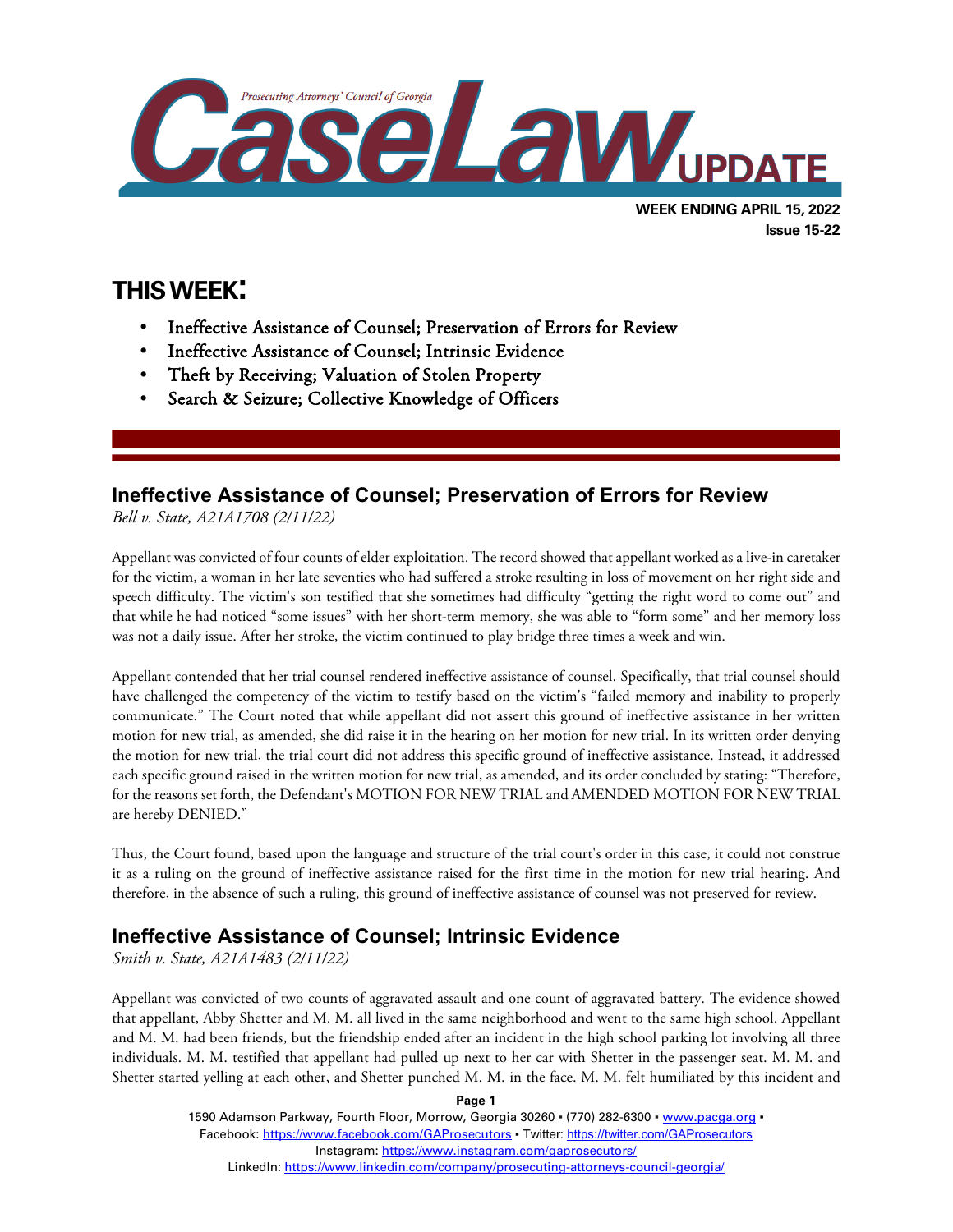

# **THIS WEEK:**

l

- Ineffective Assistance of Counsel; Preservation of Errors for Review
- Ineffective Assistance of Counsel; Intrinsic Evidence
- Theft by Receiving; Valuation of Stolen Property
- Search & Seizure; Collective Knowledge of Officers

### **Ineffective Assistance of Counsel; Preservation of Errors for Review**

*Bell v. State, A21A1708 (2/11/22)*

Appellant was convicted of four counts of elder exploitation. The record showed that appellant worked as a live-in caretaker for the victim, a woman in her late seventies who had suffered a stroke resulting in loss of movement on her right side and speech difficulty. The victim's son testified that she sometimes had difficulty "getting the right word to come out" and that while he had noticed "some issues" with her short-term memory, she was able to "form some" and her memory loss was not a daily issue. After her stroke, the victim continued to play bridge three times a week and win.

Appellant contended that her trial counsel rendered ineffective assistance of counsel. Specifically, that trial counsel should have challenged the competency of the victim to testify based on the victim's "failed memory and inability to properly communicate." The Court noted that while appellant did not assert this ground of ineffective assistance in her written motion for new trial, as amended, she did raise it in the hearing on her motion for new trial. In its written order denying the motion for new trial, the trial court did not address this specific ground of ineffective assistance. Instead, it addressed each specific ground raised in the written motion for new trial, as amended, and its order concluded by stating: "Therefore, for the reasons set forth, the Defendant's MOTION FOR NEW TRIAL and AMENDED MOTION FOR NEW TRIAL are hereby DENIED."

Thus, the Court found, based upon the language and structure of the trial court's order in this case, it could not construe it as a ruling on the ground of ineffective assistance raised for the first time in the motion for new trial hearing. And therefore, in the absence of such a ruling, this ground of ineffective assistance of counsel was not preserved for review.

## **Ineffective Assistance of Counsel; Intrinsic Evidence**

*Smith v. State, A21A1483 (2/11/22)*

Appellant was convicted of two counts of aggravated assault and one count of aggravated battery. The evidence showed that appellant, Abby Shetter and M. M. all lived in the same neighborhood and went to the same high school. Appellant and M. M. had been friends, but the friendship ended after an incident in the high school parking lot involving all three individuals. M. M. testified that appellant had pulled up next to her car with Shetter in the passenger seat. M. M. and Shetter started yelling at each other, and Shetter punched M. M. in the face. M. M. felt humiliated by this incident and

**Page 1**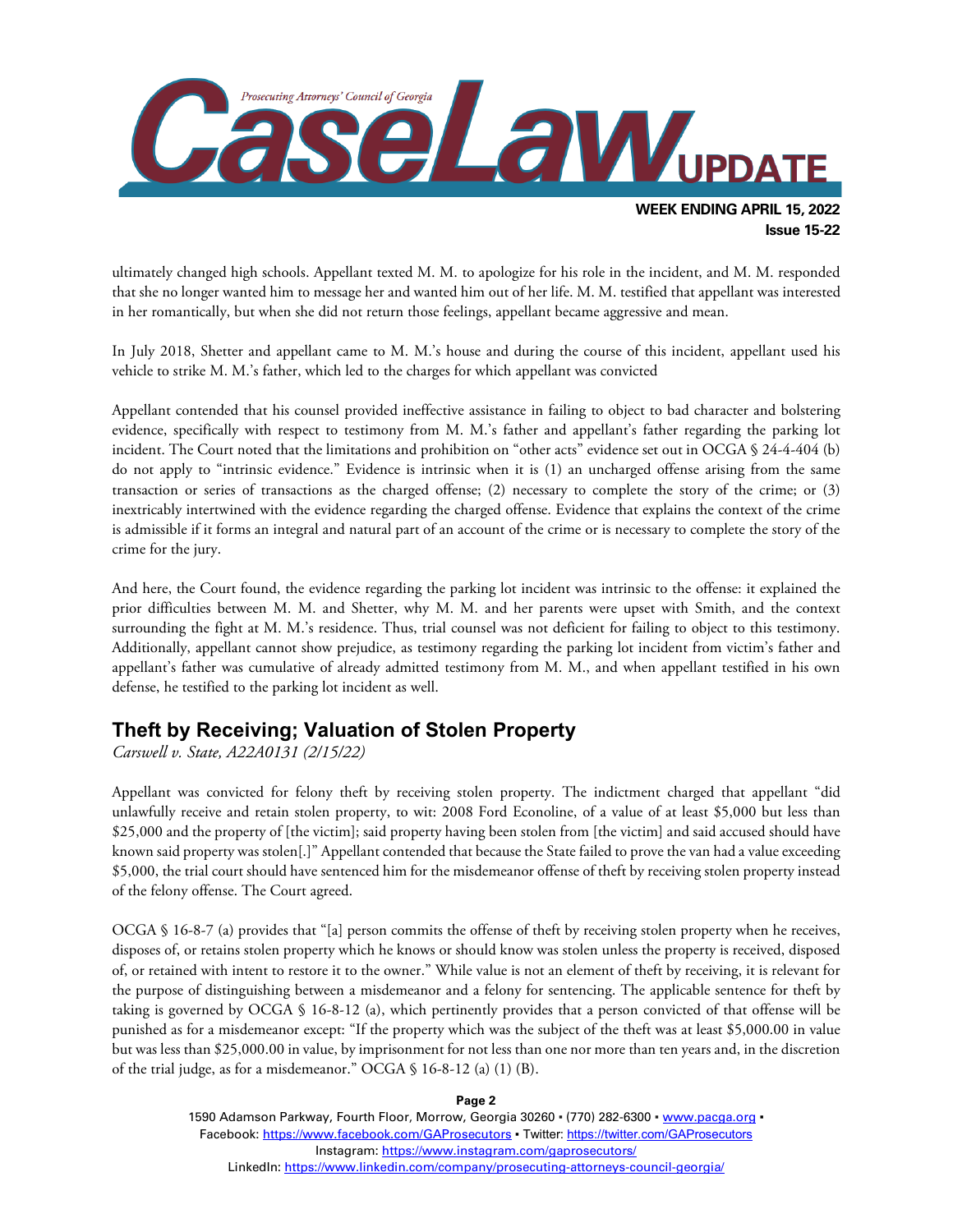

**Issue 15-22**

ultimately changed high schools. Appellant texted M. M. to apologize for his role in the incident, and M. M. responded that she no longer wanted him to message her and wanted him out of her life. M. M. testified that appellant was interested in her romantically, but when she did not return those feelings, appellant became aggressive and mean.

In July 2018, Shetter and appellant came to M. M.'s house and during the course of this incident, appellant used his vehicle to strike M. M.'s father, which led to the charges for which appellant was convicted

Appellant contended that his counsel provided ineffective assistance in failing to object to bad character and bolstering evidence, specifically with respect to testimony from M. M.'s father and appellant's father regarding the parking lot incident. The Court noted that the limitations and prohibition on "other acts" evidence set out in OCGA § 24-4-404 (b) do not apply to "intrinsic evidence." Evidence is intrinsic when it is (1) an uncharged offense arising from the same transaction or series of transactions as the charged offense; (2) necessary to complete the story of the crime; or (3) inextricably intertwined with the evidence regarding the charged offense. Evidence that explains the context of the crime is admissible if it forms an integral and natural part of an account of the crime or is necessary to complete the story of the crime for the jury.

And here, the Court found, the evidence regarding the parking lot incident was intrinsic to the offense: it explained the prior difficulties between M. M. and Shetter, why M. M. and her parents were upset with Smith, and the context surrounding the fight at M. M.'s residence. Thus, trial counsel was not deficient for failing to object to this testimony. Additionally, appellant cannot show prejudice, as testimony regarding the parking lot incident from victim's father and appellant's father was cumulative of already admitted testimony from M. M., and when appellant testified in his own defense, he testified to the parking lot incident as well.

#### **Theft by Receiving; Valuation of Stolen Property**

*Carswell v. State, A22A0131 (2/15/22)*

Appellant was convicted for felony theft by receiving stolen property. The indictment charged that appellant "did unlawfully receive and retain stolen property, to wit: 2008 Ford Econoline, of a value of at least \$5,000 but less than \$25,000 and the property of [the victim]; said property having been stolen from [the victim] and said accused should have known said property was stolen[.]" Appellant contended that because the State failed to prove the van had a value exceeding \$5,000, the trial court should have sentenced him for the misdemeanor offense of theft by receiving stolen property instead of the felony offense. The Court agreed.

OCGA § 16-8-7 (a) provides that "[a] person commits the offense of theft by receiving stolen property when he receives, disposes of, or retains stolen property which he knows or should know was stolen unless the property is received, disposed of, or retained with intent to restore it to the owner." While value is not an element of theft by receiving, it is relevant for the purpose of distinguishing between a misdemeanor and a felony for sentencing. The applicable sentence for theft by taking is governed by OCGA § 16-8-12 (a), which pertinently provides that a person convicted of that offense will be punished as for a misdemeanor except: "If the property which was the subject of the theft was at least \$5,000.00 in value but was less than \$25,000.00 in value, by imprisonment for not less than one nor more than ten years and, in the discretion of the trial judge, as for a misdemeanor." OCGA § 16-8-12 (a) (1) (B).

**Page 2**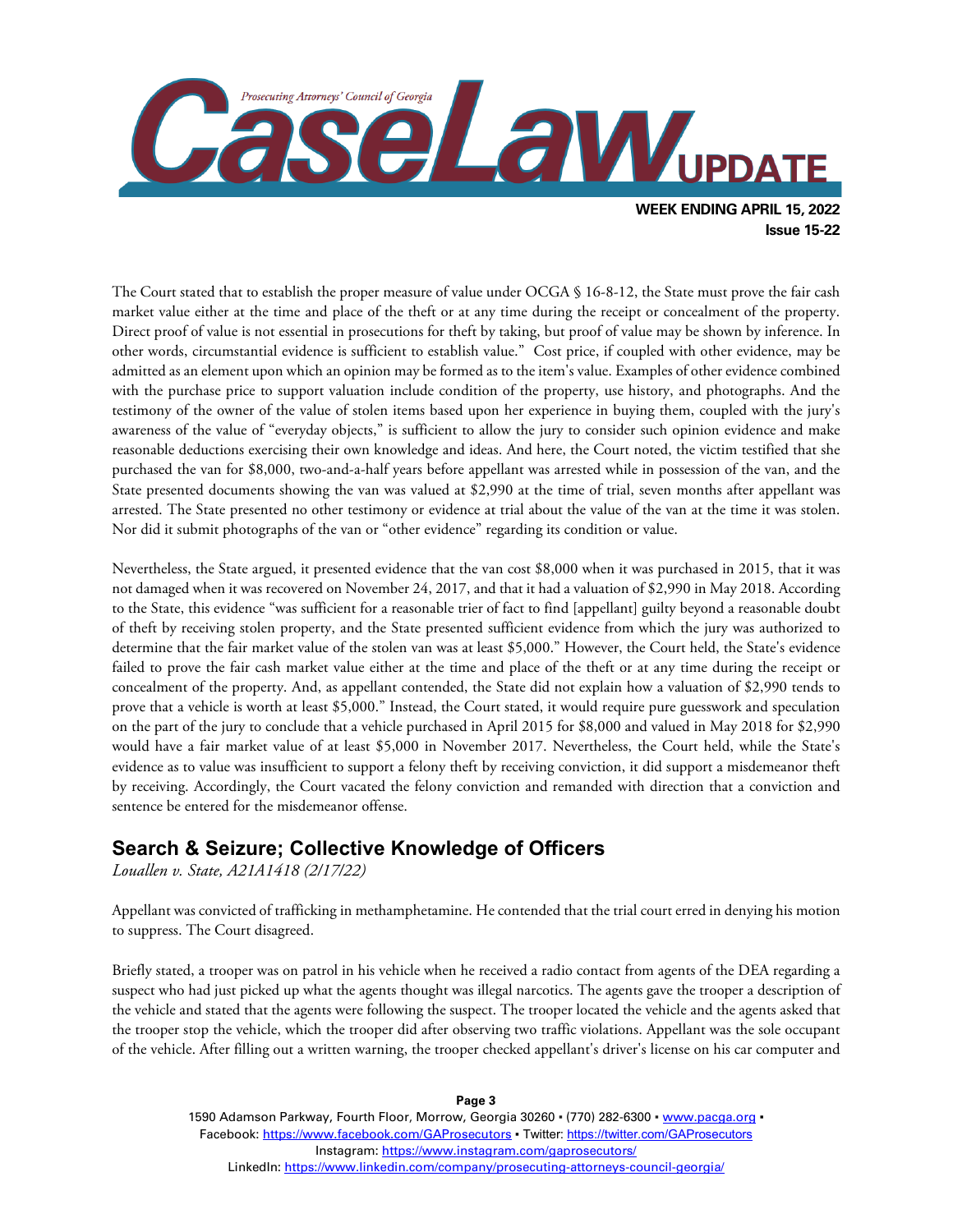

The Court stated that to establish the proper measure of value under OCGA § 16-8-12, the State must prove the fair cash market value either at the time and place of the theft or at any time during the receipt or concealment of the property. Direct proof of value is not essential in prosecutions for theft by taking, but proof of value may be shown by inference. In other words, circumstantial evidence is sufficient to establish value." Cost price, if coupled with other evidence, may be admitted as an element upon which an opinion may be formed as to the item's value. Examples of other evidence combined with the purchase price to support valuation include condition of the property, use history, and photographs. And the testimony of the owner of the value of stolen items based upon her experience in buying them, coupled with the jury's awareness of the value of "everyday objects," is sufficient to allow the jury to consider such opinion evidence and make reasonable deductions exercising their own knowledge and ideas. And here, the Court noted, the victim testified that she purchased the van for \$8,000, two-and-a-half years before appellant was arrested while in possession of the van, and the State presented documents showing the van was valued at \$2,990 at the time of trial, seven months after appellant was arrested. The State presented no other testimony or evidence at trial about the value of the van at the time it was stolen. Nor did it submit photographs of the van or "other evidence" regarding its condition or value.

Nevertheless, the State argued, it presented evidence that the van cost \$8,000 when it was purchased in 2015, that it was not damaged when it was recovered on November 24, 2017, and that it had a valuation of \$2,990 in May 2018. According to the State, this evidence "was sufficient for a reasonable trier of fact to find [appellant] guilty beyond a reasonable doubt of theft by receiving stolen property, and the State presented sufficient evidence from which the jury was authorized to determine that the fair market value of the stolen van was at least \$5,000." However, the Court held, the State's evidence failed to prove the fair cash market value either at the time and place of the theft or at any time during the receipt or concealment of the property. And, as appellant contended, the State did not explain how a valuation of \$2,990 tends to prove that a vehicle is worth at least \$5,000." Instead, the Court stated, it would require pure guesswork and speculation on the part of the jury to conclude that a vehicle purchased in April 2015 for \$8,000 and valued in May 2018 for \$2,990 would have a fair market value of at least \$5,000 in November 2017. Nevertheless, the Court held, while the State's evidence as to value was insufficient to support a felony theft by receiving conviction, it did support a misdemeanor theft by receiving. Accordingly, the Court vacated the felony conviction and remanded with direction that a conviction and sentence be entered for the misdemeanor offense.

#### **Search & Seizure; Collective Knowledge of Officers**

*Louallen v. State, A21A1418 (2/17/22)*

Appellant was convicted of trafficking in methamphetamine. He contended that the trial court erred in denying his motion to suppress. The Court disagreed.

Briefly stated, a trooper was on patrol in his vehicle when he received a radio contact from agents of the DEA regarding a suspect who had just picked up what the agents thought was illegal narcotics. The agents gave the trooper a description of the vehicle and stated that the agents were following the suspect. The trooper located the vehicle and the agents asked that the trooper stop the vehicle, which the trooper did after observing two traffic violations. Appellant was the sole occupant of the vehicle. After filling out a written warning, the trooper checked appellant's driver's license on his car computer and

> 1590 Adamson Parkway, Fourth Floor, Morrow, Georgia 30260 · (770) 282-6300 · [www.pacga.org](http://www.pacga.org/) · Facebook:<https://www.facebook.com/GAProsecutors> . Twitter[: https://twitter.com/GAProsecutors](https://twitter.com/GAProsecutors) Instagram[: https://www.instagram.com/gaprosecutors/](https://www.instagram.com/gaprosecutors/) LinkedIn:<https://www.linkedin.com/company/prosecuting-attorneys-council-georgia/>

#### **Page 3**